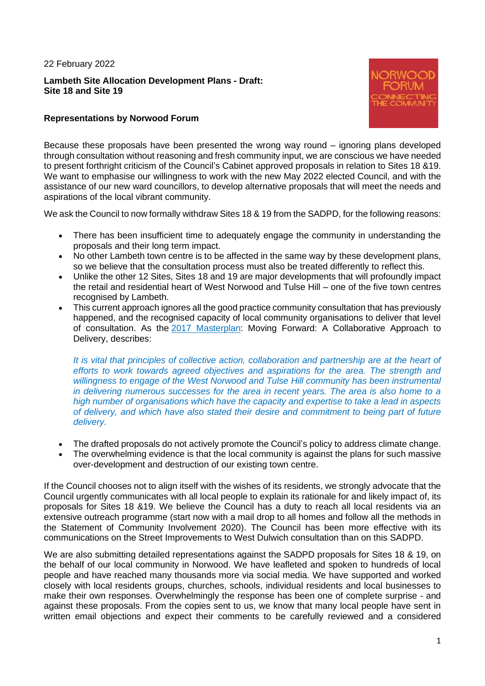#### 22 February 2022

# **Lambeth Site Allocation Development Plans - Draft: Site 18 and Site 19**



# **Representations by Norwood Forum**

Because these proposals have been presented the wrong way round – ignoring plans developed through consultation without reasoning and fresh community input, we are conscious we have needed to present forthright criticism of the Council's Cabinet approved proposals in relation to Sites 18 &19. We want to emphasise our willingness to work with the new May 2022 elected Council, and with the assistance of our new ward councillors, to develop alternative proposals that will meet the needs and aspirations of the local vibrant community.

We ask the Council to now formally withdraw Sites 18 & 19 from the SADPD, for the following reasons:

- There has been insufficient time to adequately engage the community in understanding the proposals and their long term impact.
- No other Lambeth town centre is to be affected in the same way by these development plans, so we believe that the consultation process must also be treated differently to reflect this.
- Unlike the other 12 Sites, Sites 18 and 19 are major developments that will profoundly impact the retail and residential heart of West Norwood and Tulse Hill – one of the five town centres recognised by Lambeth.
- This current approach ignores all the good practice community consultation that has previously happened, and the recognised capacity of local community organisations to deliver that level of consultation. As the [2017 Masterplan:](https://eur03.safelinks.protection.outlook.com/?url=https%3A%2F%2Fnorwoodforum.us7.list-manage.com%2Ftrack%2Fclick%3Fu%3D4b128fc981b73e6ea80b89cac%26id%3Ddbe598286e%26e%3D3b9d6b7551&data=04%7C01%7CFCowell%40lambeth.gov.uk%7C1a50e2e282c5481b2c3708d9e6f8e4c3%7Cc4f22780485f4507af4a60a971d6f7fe%7C0%7C0%7C637794780162666081%7CUnknown%7CTWFpbGZsb3d8eyJWIjoiMC4wLjAwMDAiLCJQIjoiV2luMzIiLCJBTiI6Ik1haWwiLCJXVCI6Mn0%3D%7C3000&sdata=xUJx6p5Ww%2FrMdhX3Y9dRuqBvXb5HjLpm6ceZoLe%2FViY%3D&reserved=0) Moving Forward: A Collaborative Approach to Delivery, describes:

*It is vital that principles of collective action, collaboration and partnership are at the heart of efforts to work towards agreed objectives and aspirations for the area. The strength and willingness to engage of the West Norwood and Tulse Hill community has been instrumental in delivering numerous successes for the area in recent years. The area is also home to a high number of organisations which have the capacity and expertise to take a lead in aspects of delivery, and which have also stated their desire and commitment to being part of future delivery.*

- The drafted proposals do not actively promote the Council's policy to address climate change.
- The overwhelming evidence is that the local community is against the plans for such massive over-development and destruction of our existing town centre.

If the Council chooses not to align itself with the wishes of its residents, we strongly advocate that the Council urgently communicates with all local people to explain its rationale for and likely impact of, its proposals for Sites 18 &19. We believe the Council has a duty to reach all local residents via an extensive outreach programme (start now with a mail drop to all homes and follow all the methods in the Statement of Community Involvement 2020). The Council has been more effective with its communications on the Street Improvements to West Dulwich consultation than on this SADPD.

We are also submitting detailed representations against the SADPD proposals for Sites 18 & 19, on the behalf of our local community in Norwood. We have leafleted and spoken to hundreds of local people and have reached many thousands more via social media. We have supported and worked closely with local residents groups, churches, schools, individual residents and local businesses to make their own responses. Overwhelmingly the response has been one of complete surprise - and against these proposals. From the copies sent to us, we know that many local people have sent in written email objections and expect their comments to be carefully reviewed and a considered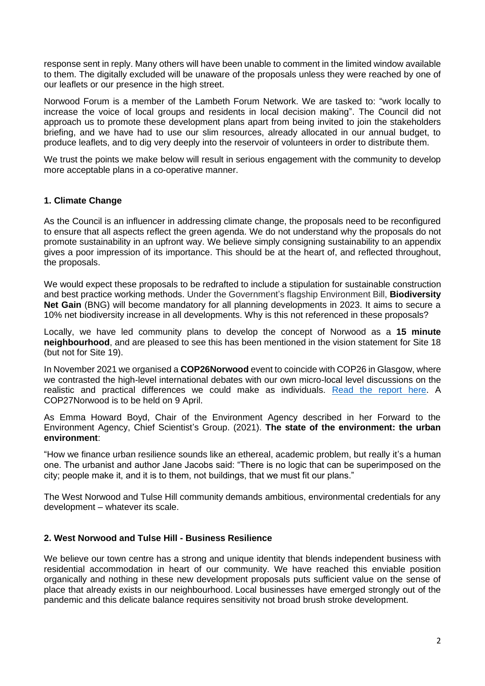response sent in reply. Many others will have been unable to comment in the limited window available to them. The digitally excluded will be unaware of the proposals unless they were reached by one of our leaflets or our presence in the high street.

Norwood Forum is a member of the Lambeth Forum Network. We are tasked to: "work locally to increase the voice of local groups and residents in local decision making". The Council did not approach us to promote these development plans apart from being invited to join the stakeholders briefing, and we have had to use our slim resources, already allocated in our annual budget, to produce leaflets, and to dig very deeply into the reservoir of volunteers in order to distribute them.

We trust the points we make below will result in serious engagement with the community to develop more acceptable plans in a co-operative manner.

# **1. Climate Change**

As the Council is an influencer in addressing climate change, the proposals need to be reconfigured to ensure that all aspects reflect the green agenda. We do not understand why the proposals do not promote sustainability in an upfront way. We believe simply consigning sustainability to an appendix gives a poor impression of its importance. This should be at the heart of, and reflected throughout, the proposals.

We would expect these proposals to be redrafted to include a stipulation for sustainable construction and best practice working methods. Under the Government's flagship Environment Bill, **Biodiversity Net Gain** (BNG) will become mandatory for all planning developments in 2023. It aims to secure a 10% net biodiversity increase in all developments. Why is this not referenced in these proposals?

Locally, we have led community plans to develop the concept of Norwood as a **15 minute neighbourhood**, and are pleased to see this has been mentioned in the vision statement for Site 18 (but not for Site 19).

In November 2021 we organised a **COP26Norwood** event to coincide with COP26 in Glasgow, where we contrasted the high-level international debates with our own micro-local level discussions on the realistic and practical differences we could make as individuals. [Read the report here.](https://www.norwoodforum.org/events/cop26norwood) A COP27Norwood is to be held on 9 April.

As Emma Howard Boyd, Chair of the Environment Agency described in her Forward to the Environment Agency, Chief Scientist's Group. (2021). **The state of the environment: the urban environment**:

"How we finance urban resilience sounds like an ethereal, academic problem, but really it's a human one. The urbanist and author Jane Jacobs said: "There is no logic that can be superimposed on the city; people make it, and it is to them, not buildings, that we must fit our plans."

The West Norwood and Tulse Hill community demands ambitious, environmental credentials for any development – whatever its scale.

## **2. West Norwood and Tulse Hill - Business Resilience**

We believe our town centre has a strong and unique identity that blends independent business with residential accommodation in heart of our community. We have reached this enviable position organically and nothing in these new development proposals puts sufficient value on the sense of place that already exists in our neighbourhood. Local businesses have emerged strongly out of the pandemic and this delicate balance requires sensitivity not broad brush stroke development.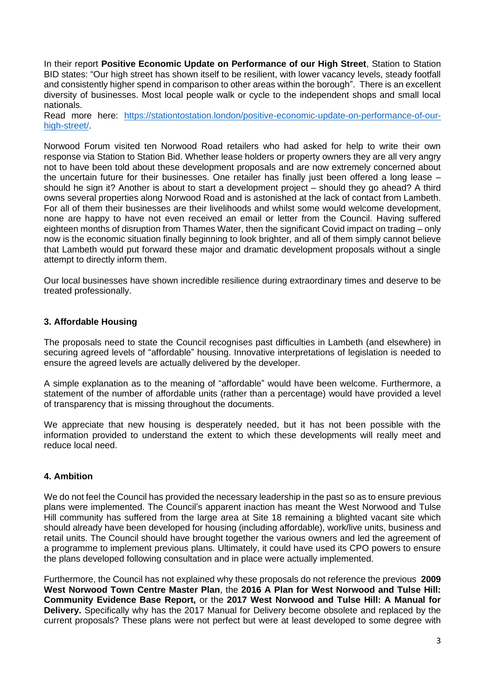In their report **Positive Economic Update on Performance of our High Street**, Station to Station BID states: "Our high street has shown itself to be resilient, with lower vacancy levels, steady footfall and consistently higher spend in comparison to other areas within the borough". There is an excellent diversity of businesses. Most local people walk or cycle to the independent shops and small local nationals.

Read more here: [https://stationtostation.london/positive-economic-update-on-performance-of-our](https://stationtostation.london/positive-economic-update-on-performance-of-our-high-street/)[high-street/.](https://stationtostation.london/positive-economic-update-on-performance-of-our-high-street/)

Norwood Forum visited ten Norwood Road retailers who had asked for help to write their own response via Station to Station Bid. Whether lease holders or property owners they are all very angry not to have been told about these development proposals and are now extremely concerned about the uncertain future for their businesses. One retailer has finally just been offered a long lease – should he sign it? Another is about to start a development project – should they go ahead? A third owns several properties along Norwood Road and is astonished at the lack of contact from Lambeth. For all of them their businesses are their livelihoods and whilst some would welcome development, none are happy to have not even received an email or letter from the Council. Having suffered eighteen months of disruption from Thames Water, then the significant Covid impact on trading – only now is the economic situation finally beginning to look brighter, and all of them simply cannot believe that Lambeth would put forward these major and dramatic development proposals without a single attempt to directly inform them.

Our local businesses have shown incredible resilience during extraordinary times and deserve to be treated professionally.

## **3. Affordable Housing**

The proposals need to state the Council recognises past difficulties in Lambeth (and elsewhere) in securing agreed levels of "affordable" housing. Innovative interpretations of legislation is needed to ensure the agreed levels are actually delivered by the developer.

A simple explanation as to the meaning of "affordable" would have been welcome. Furthermore, a statement of the number of affordable units (rather than a percentage) would have provided a level of transparency that is missing throughout the documents.

We appreciate that new housing is desperately needed, but it has not been possible with the information provided to understand the extent to which these developments will really meet and reduce local need.

## **4. Ambition**

We do not feel the Council has provided the necessary leadership in the past so as to ensure previous plans were implemented. The Council's apparent inaction has meant the West Norwood and Tulse Hill community has suffered from the large area at Site 18 remaining a blighted vacant site which should already have been developed for housing (including affordable), work/live units, business and retail units. The Council should have brought together the various owners and led the agreement of a programme to implement previous plans. Ultimately, it could have used its CPO powers to ensure the plans developed following consultation and in place were actually implemented.

Furthermore, the Council has not explained why these proposals do not reference the previous **2009 West Norwood Town Centre Master Plan**, the **2016 A Plan for West Norwood and Tulse Hill: Community Evidence Base Report,** or the **2017 West Norwood and Tulse Hill: A Manual for Delivery.** Specifically why has the 2017 Manual for Delivery become obsolete and replaced by the current proposals? These plans were not perfect but were at least developed to some degree with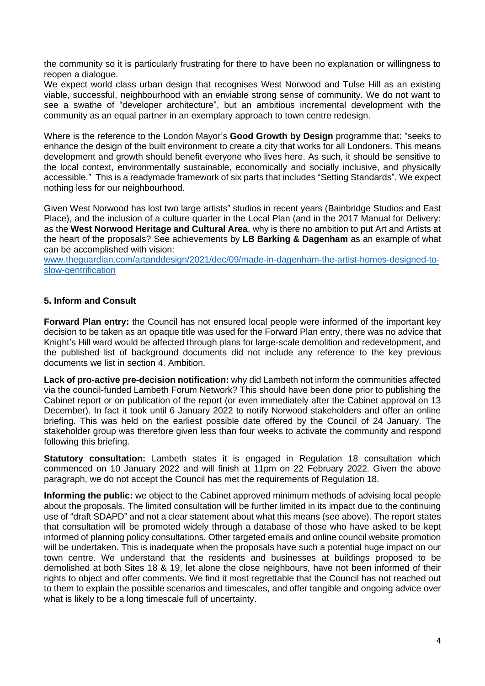the community so it is particularly frustrating for there to have been no explanation or willingness to reopen a dialogue.

We expect world class urban design that recognises West Norwood and Tulse Hill as an existing viable, successful, neighbourhood with an enviable strong sense of community. We do not want to see a swathe of "developer architecture", but an ambitious incremental development with the community as an equal partner in an exemplary approach to town centre redesign.

Where is the reference to the London Mayor's **Good Growth by Design** programme that: "seeks to enhance the design of the built environment to create a city that works for all Londoners. This means development and growth should benefit everyone who lives here. As such, it should be sensitive to the local context, environmentally sustainable, economically and socially inclusive, and physically accessible." This is a readymade framework of six parts that includes "Setting Standards". We expect nothing less for our neighbourhood.

Given West Norwood has lost two large artists" studios in recent years (Bainbridge Studios and East Place), and the inclusion of a culture quarter in the Local Plan (and in the 2017 Manual for Delivery: as the **West Norwood Heritage and Cultural Area**, why is there no ambition to put Art and Artists at the heart of the proposals? See achievements by **LB Barking & Dagenham** as an example of what can be accomplished with vision:

[www.theguardian.com/artanddesign/2021/dec/09/made-in-dagenham-the-artist-homes-designed-to](http://www.theguardian.com/artanddesign/2021/dec/09/made-in-dagenham-the-artist-homes-designed-to-slow-gentrification)[slow-gentrification](http://www.theguardian.com/artanddesign/2021/dec/09/made-in-dagenham-the-artist-homes-designed-to-slow-gentrification)

# **5. Inform and Consult**

**Forward Plan entry:** the Council has not ensured local people were informed of the important key decision to be taken as an opaque title was used for the Forward Plan entry, there was no advice that Knight's Hill ward would be affected through plans for large-scale demolition and redevelopment, and the published list of background documents did not include any reference to the key previous documents we list in section 4. Ambition.

**Lack of pro-active pre-decision notification:** why did Lambeth not inform the communities affected via the council-funded Lambeth Forum Network? This should have been done prior to publishing the Cabinet report or on publication of the report (or even immediately after the Cabinet approval on 13 December). In fact it took until 6 January 2022 to notify Norwood stakeholders and offer an online briefing. This was held on the earliest possible date offered by the Council of 24 January. The stakeholder group was therefore given less than four weeks to activate the community and respond following this briefing.

**Statutory consultation:** Lambeth states it is engaged in Regulation 18 consultation which commenced on 10 January 2022 and will finish at 11pm on 22 February 2022. Given the above paragraph, we do not accept the Council has met the requirements of Regulation 18.

**Informing the public:** we object to the Cabinet approved minimum methods of advising local people about the proposals. The limited consultation will be further limited in its impact due to the continuing use of "draft SDAPD" and not a clear statement about what this means (see above). The report states that consultation will be promoted widely through a database of those who have asked to be kept informed of planning policy consultations. Other targeted emails and online council website promotion will be undertaken. This is inadequate when the proposals have such a potential huge impact on our town centre. We understand that the residents and businesses at buildings proposed to be demolished at both Sites 18 & 19, let alone the close neighbours, have not been informed of their rights to object and offer comments. We find it most regrettable that the Council has not reached out to them to explain the possible scenarios and timescales, and offer tangible and ongoing advice over what is likely to be a long timescale full of uncertainty.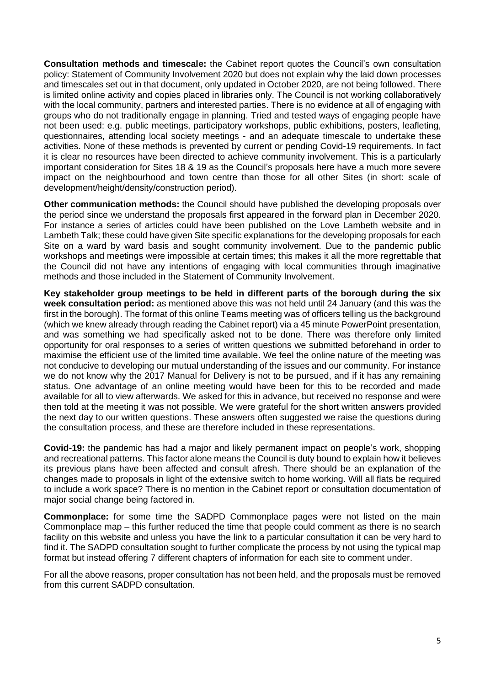**Consultation methods and timescale:** the Cabinet report quotes the Council's own consultation policy: Statement of Community Involvement 2020 but does not explain why the laid down processes and timescales set out in that document, only updated in October 2020, are not being followed. There is limited online activity and copies placed in libraries only. The Council is not working collaboratively with the local community, partners and interested parties. There is no evidence at all of engaging with groups who do not traditionally engage in planning. Tried and tested ways of engaging people have not been used: e.g. public meetings, participatory workshops, public exhibitions, posters, leafleting, questionnaires, attending local society meetings - and an adequate timescale to undertake these activities. None of these methods is prevented by current or pending Covid-19 requirements. In fact it is clear no resources have been directed to achieve community involvement. This is a particularly important consideration for Sites 18 & 19 as the Council's proposals here have a much more severe impact on the neighbourhood and town centre than those for all other Sites (in short: scale of development/height/density/construction period).

**Other communication methods:** the Council should have published the developing proposals over the period since we understand the proposals first appeared in the forward plan in December 2020. For instance a series of articles could have been published on the Love Lambeth website and in Lambeth Talk; these could have given Site specific explanations for the developing proposals for each Site on a ward by ward basis and sought community involvement. Due to the pandemic public workshops and meetings were impossible at certain times; this makes it all the more regrettable that the Council did not have any intentions of engaging with local communities through imaginative methods and those included in the Statement of Community Involvement.

**Key stakeholder group meetings to be held in different parts of the borough during the six week consultation period:** as mentioned above this was not held until 24 January (and this was the first in the borough). The format of this online Teams meeting was of officers telling us the background (which we knew already through reading the Cabinet report) via a 45 minute PowerPoint presentation, and was something we had specifically asked not to be done. There was therefore only limited opportunity for oral responses to a series of written questions we submitted beforehand in order to maximise the efficient use of the limited time available. We feel the online nature of the meeting was not conducive to developing our mutual understanding of the issues and our community. For instance we do not know why the 2017 Manual for Delivery is not to be pursued, and if it has any remaining status. One advantage of an online meeting would have been for this to be recorded and made available for all to view afterwards. We asked for this in advance, but received no response and were then told at the meeting it was not possible. We were grateful for the short written answers provided the next day to our written questions. These answers often suggested we raise the questions during the consultation process, and these are therefore included in these representations.

**Covid-19:** the pandemic has had a major and likely permanent impact on people's work, shopping and recreational patterns. This factor alone means the Council is duty bound to explain how it believes its previous plans have been affected and consult afresh. There should be an explanation of the changes made to proposals in light of the extensive switch to home working. Will all flats be required to include a work space? There is no mention in the Cabinet report or consultation documentation of major social change being factored in.

**Commonplace:** for some time the SADPD Commonplace pages were not listed on the main Commonplace map – this further reduced the time that people could comment as there is no search facility on this website and unless you have the link to a particular consultation it can be very hard to find it. The SADPD consultation sought to further complicate the process by not using the typical map format but instead offering 7 different chapters of information for each site to comment under.

For all the above reasons, proper consultation has not been held, and the proposals must be removed from this current SADPD consultation.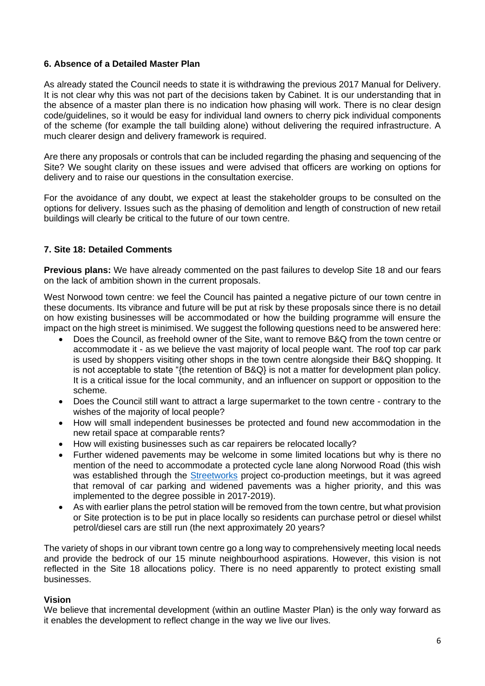## **6. Absence of a Detailed Master Plan**

As already stated the Council needs to state it is withdrawing the previous 2017 Manual for Delivery. It is not clear why this was not part of the decisions taken by Cabinet. It is our understanding that in the absence of a master plan there is no indication how phasing will work. There is no clear design code/guidelines, so it would be easy for individual land owners to cherry pick individual components of the scheme (for example the tall building alone) without delivering the required infrastructure. A much clearer design and delivery framework is required.

Are there any proposals or controls that can be included regarding the phasing and sequencing of the Site? We sought clarity on these issues and were advised that officers are working on options for delivery and to raise our questions in the consultation exercise.

For the avoidance of any doubt, we expect at least the stakeholder groups to be consulted on the options for delivery. Issues such as the phasing of demolition and length of construction of new retail buildings will clearly be critical to the future of our town centre.

# **7. Site 18: Detailed Comments**

**Previous plans:** We have already commented on the past failures to develop Site 18 and our fears on the lack of ambition shown in the current proposals.

West Norwood town centre: we feel the Council has painted a negative picture of our town centre in these documents. Its vibrance and future will be put at risk by these proposals since there is no detail on how existing businesses will be accommodated or how the building programme will ensure the impact on the high street is minimised. We suggest the following questions need to be answered here:

- Does the Council, as freehold owner of the Site, want to remove B&Q from the town centre or accommodate it - as we believe the vast majority of local people want. The roof top car park is used by shoppers visiting other shops in the town centre alongside their B&Q shopping. It is not acceptable to state "{the retention of B&Q} is not a matter for development plan policy. It is a critical issue for the local community, and an influencer on support or opposition to the scheme.
- Does the Council still want to attract a large supermarket to the town centre contrary to the wishes of the majority of local people?
- How will small independent businesses be protected and found new accommodation in the new retail space at comparable rents?
- How will existing businesses such as car repairers be relocated locally?
- Further widened pavements may be welcome in some limited locations but why is there no mention of the need to accommodate a protected cycle lane along Norwood Road (this wish was established through the [Streetworks](https://www.streetworks.london/) project co-production meetings, but it was agreed that removal of car parking and widened pavements was a higher priority, and this was implemented to the degree possible in 2017-2019).
- As with earlier plans the petrol station will be removed from the town centre, but what provision or Site protection is to be put in place locally so residents can purchase petrol or diesel whilst petrol/diesel cars are still run (the next approximately 20 years?

The variety of shops in our vibrant town centre go a long way to comprehensively meeting local needs and provide the bedrock of our 15 minute neighbourhood aspirations. However, this vision is not reflected in the Site 18 allocations policy. There is no need apparently to protect existing small businesses.

## **Vision**

We believe that incremental development (within an outline Master Plan) is the only way forward as it enables the development to reflect change in the way we live our lives.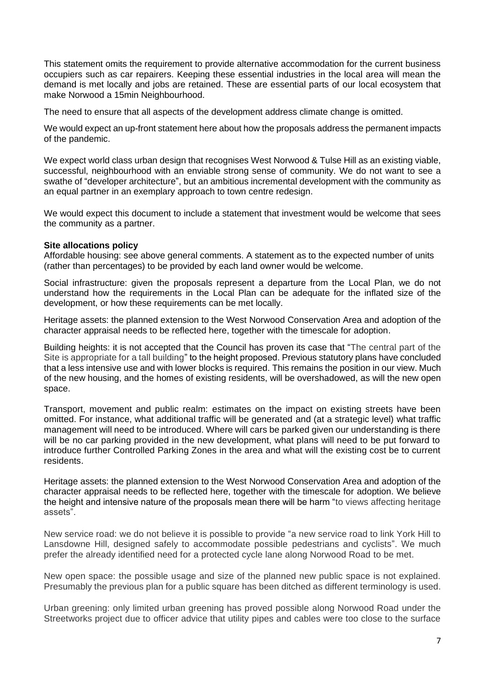This statement omits the requirement to provide alternative accommodation for the current business occupiers such as car repairers. Keeping these essential industries in the local area will mean the demand is met locally and jobs are retained. These are essential parts of our local ecosystem that make Norwood a 15min Neighbourhood.

The need to ensure that all aspects of the development address climate change is omitted.

We would expect an up-front statement here about how the proposals address the permanent impacts of the pandemic.

We expect world class urban design that recognises West Norwood & Tulse Hill as an existing viable, successful, neighbourhood with an enviable strong sense of community. We do not want to see a swathe of "developer architecture", but an ambitious incremental development with the community as an equal partner in an exemplary approach to town centre redesign.

We would expect this document to include a statement that investment would be welcome that sees the community as a partner.

#### **Site allocations policy**

Affordable housing: see above general comments. A statement as to the expected number of units (rather than percentages) to be provided by each land owner would be welcome.

Social infrastructure: given the proposals represent a departure from the Local Plan, we do not understand how the requirements in the Local Plan can be adequate for the inflated size of the development, or how these requirements can be met locally.

Heritage assets: the planned extension to the West Norwood Conservation Area and adoption of the character appraisal needs to be reflected here, together with the timescale for adoption.

Building heights: it is not accepted that the Council has proven its case that "The central part of the Site is appropriate for a tall building" to the height proposed. Previous statutory plans have concluded that a less intensive use and with lower blocks is required. This remains the position in our view. Much of the new housing, and the homes of existing residents, will be overshadowed, as will the new open space.

Transport, movement and public realm: estimates on the impact on existing streets have been omitted. For instance, what additional traffic will be generated and (at a strategic level) what traffic management will need to be introduced. Where will cars be parked given our understanding is there will be no car parking provided in the new development, what plans will need to be put forward to introduce further Controlled Parking Zones in the area and what will the existing cost be to current residents.

Heritage assets: the planned extension to the West Norwood Conservation Area and adoption of the character appraisal needs to be reflected here, together with the timescale for adoption. We believe the height and intensive nature of the proposals mean there will be harm "to views affecting heritage assets".

New service road: we do not believe it is possible to provide "a new service road to link York Hill to Lansdowne Hill, designed safely to accommodate possible pedestrians and cyclists". We much prefer the already identified need for a protected cycle lane along Norwood Road to be met.

New open space: the possible usage and size of the planned new public space is not explained. Presumably the previous plan for a public square has been ditched as different terminology is used.

Urban greening: only limited urban greening has proved possible along Norwood Road under the Streetworks project due to officer advice that utility pipes and cables were too close to the surface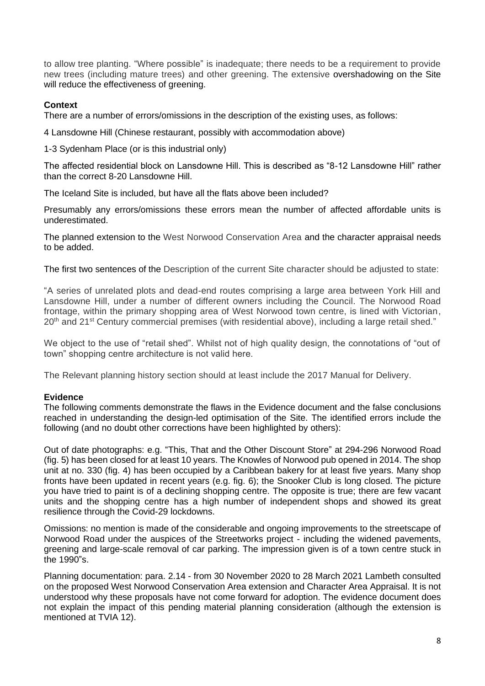to allow tree planting. "Where possible" is inadequate; there needs to be a requirement to provide new trees (including mature trees) and other greening. The extensive overshadowing on the Site will reduce the effectiveness of greening.

# **Context**

There are a number of errors/omissions in the description of the existing uses, as follows:

4 Lansdowne Hill (Chinese restaurant, possibly with accommodation above)

1-3 Sydenham Place (or is this industrial only)

The affected residential block on Lansdowne Hill. This is described as "8-12 Lansdowne Hill" rather than the correct 8-20 Lansdowne Hill.

The Iceland Site is included, but have all the flats above been included?

Presumably any errors/omissions these errors mean the number of affected affordable units is underestimated.

The planned extension to the West Norwood Conservation Area and the character appraisal needs to be added.

The first two sentences of the Description of the current Site character should be adjusted to state:

"A series of unrelated plots and dead-end routes comprising a large area between York Hill and Lansdowne Hill, under a number of different owners including the Council. The Norwood Road frontage, within the primary shopping area of West Norwood town centre, is lined with Victorian,  $20<sup>th</sup>$  and  $21<sup>st</sup>$  Century commercial premises (with residential above), including a large retail shed."

We object to the use of "retail shed". Whilst not of high quality design, the connotations of "out of town" shopping centre architecture is not valid here.

The Relevant planning history section should at least include the 2017 Manual for Delivery.

## **Evidence**

The following comments demonstrate the flaws in the Evidence document and the false conclusions reached in understanding the design-led optimisation of the Site. The identified errors include the following (and no doubt other corrections have been highlighted by others):

Out of date photographs: e.g. "This, That and the Other Discount Store" at 294-296 Norwood Road (fig. 5) has been closed for at least 10 years. The Knowles of Norwood pub opened in 2014. The shop unit at no. 330 (fig. 4) has been occupied by a Caribbean bakery for at least five years. Many shop fronts have been updated in recent years (e.g. fig. 6); the Snooker Club is long closed. The picture you have tried to paint is of a declining shopping centre. The opposite is true; there are few vacant units and the shopping centre has a high number of independent shops and showed its great resilience through the Covid-29 lockdowns.

Omissions: no mention is made of the considerable and ongoing improvements to the streetscape of Norwood Road under the auspices of the Streetworks project - including the widened pavements, greening and large-scale removal of car parking. The impression given is of a town centre stuck in the 1990"s.

Planning documentation: para. 2.14 - from 30 November 2020 to 28 March 2021 Lambeth consulted on the proposed West Norwood Conservation Area extension and Character Area Appraisal. It is not understood why these proposals have not come forward for adoption. The evidence document does not explain the impact of this pending material planning consideration (although the extension is mentioned at TVIA 12).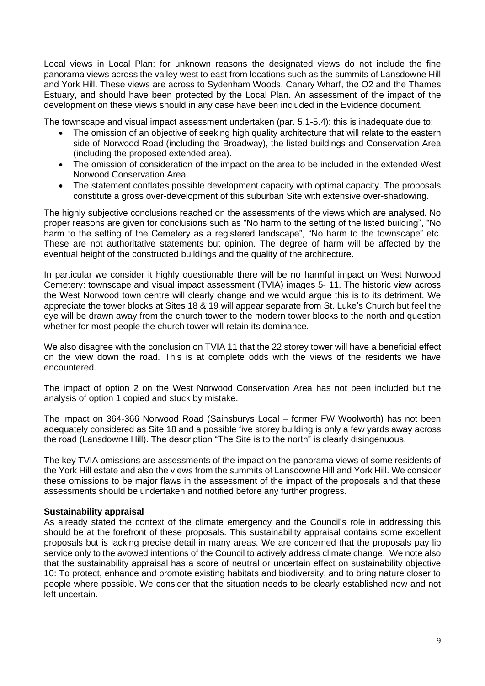Local views in Local Plan: for unknown reasons the designated views do not include the fine panorama views across the valley west to east from locations such as the summits of Lansdowne Hill and York Hill. These views are across to Sydenham Woods, Canary Wharf, the O2 and the Thames Estuary, and should have been protected by the Local Plan. An assessment of the impact of the development on these views should in any case have been included in the Evidence document.

The townscape and visual impact assessment undertaken (par. 5.1-5.4): this is inadequate due to:

- The omission of an objective of seeking high quality architecture that will relate to the eastern side of Norwood Road (including the Broadway), the listed buildings and Conservation Area (including the proposed extended area).
- The omission of consideration of the impact on the area to be included in the extended West Norwood Conservation Area.
- The statement conflates possible development capacity with optimal capacity. The proposals constitute a gross over-development of this suburban Site with extensive over-shadowing.

The highly subjective conclusions reached on the assessments of the views which are analysed. No proper reasons are given for conclusions such as "No harm to the setting of the listed building", "No harm to the setting of the Cemetery as a registered landscape", "No harm to the townscape" etc. These are not authoritative statements but opinion. The degree of harm will be affected by the eventual height of the constructed buildings and the quality of the architecture.

In particular we consider it highly questionable there will be no harmful impact on West Norwood Cemetery: townscape and visual impact assessment (TVIA) images 5- 11. The historic view across the West Norwood town centre will clearly change and we would argue this is to its detriment. We appreciate the tower blocks at Sites 18 & 19 will appear separate from St. Luke's Church but feel the eye will be drawn away from the church tower to the modern tower blocks to the north and question whether for most people the church tower will retain its dominance.

We also disagree with the conclusion on TVIA 11 that the 22 storey tower will have a beneficial effect on the view down the road. This is at complete odds with the views of the residents we have encountered.

The impact of option 2 on the West Norwood Conservation Area has not been included but the analysis of option 1 copied and stuck by mistake.

The impact on 364-366 Norwood Road (Sainsburys Local – former FW Woolworth) has not been adequately considered as Site 18 and a possible five storey building is only a few yards away across the road (Lansdowne Hill). The description "The Site is to the north" is clearly disingenuous.

The key TVIA omissions are assessments of the impact on the panorama views of some residents of the York Hill estate and also the views from the summits of Lansdowne Hill and York Hill. We consider these omissions to be major flaws in the assessment of the impact of the proposals and that these assessments should be undertaken and notified before any further progress.

## **Sustainability appraisal**

As already stated the context of the climate emergency and the Council's role in addressing this should be at the forefront of these proposals. This sustainability appraisal contains some excellent proposals but is lacking precise detail in many areas. We are concerned that the proposals pay lip service only to the avowed intentions of the Council to actively address climate change. We note also that the sustainability appraisal has a score of neutral or uncertain effect on sustainability objective 10: To protect, enhance and promote existing habitats and biodiversity, and to bring nature closer to people where possible. We consider that the situation needs to be clearly established now and not left uncertain.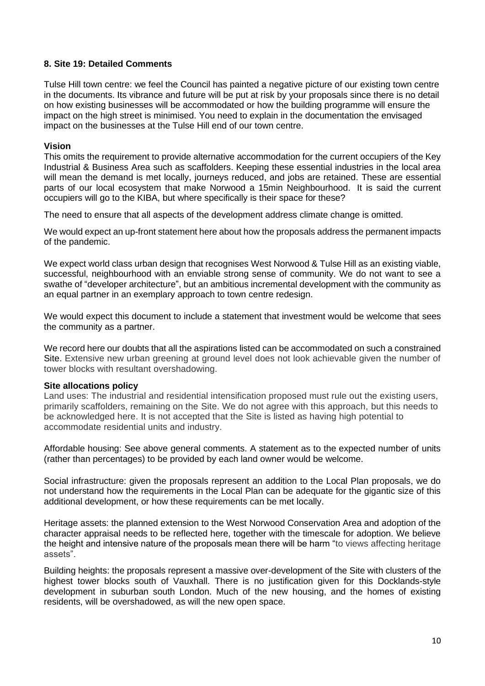#### **8. Site 19: Detailed Comments**

Tulse Hill town centre: we feel the Council has painted a negative picture of our existing town centre in the documents. Its vibrance and future will be put at risk by your proposals since there is no detail on how existing businesses will be accommodated or how the building programme will ensure the impact on the high street is minimised. You need to explain in the documentation the envisaged impact on the businesses at the Tulse Hill end of our town centre.

#### **Vision**

This omits the requirement to provide alternative accommodation for the current occupiers of the Key Industrial & Business Area such as scaffolders. Keeping these essential industries in the local area will mean the demand is met locally, journeys reduced, and jobs are retained. These are essential parts of our local ecosystem that make Norwood a 15min Neighbourhood. It is said the current occupiers will go to the KIBA, but where specifically is their space for these?

The need to ensure that all aspects of the development address climate change is omitted.

We would expect an up-front statement here about how the proposals address the permanent impacts of the pandemic.

We expect world class urban design that recognises West Norwood & Tulse Hill as an existing viable, successful, neighbourhood with an enviable strong sense of community. We do not want to see a swathe of "developer architecture", but an ambitious incremental development with the community as an equal partner in an exemplary approach to town centre redesign.

We would expect this document to include a statement that investment would be welcome that sees the community as a partner.

We record here our doubts that all the aspirations listed can be accommodated on such a constrained Site. Extensive new urban greening at ground level does not look achievable given the number of tower blocks with resultant overshadowing.

#### **Site allocations policy**

Land uses: The industrial and residential intensification proposed must rule out the existing users, primarily scaffolders, remaining on the Site. We do not agree with this approach, but this needs to be acknowledged here. It is not accepted that the Site is listed as having high potential to accommodate residential units and industry.

Affordable housing: See above general comments. A statement as to the expected number of units (rather than percentages) to be provided by each land owner would be welcome.

Social infrastructure: given the proposals represent an addition to the Local Plan proposals, we do not understand how the requirements in the Local Plan can be adequate for the gigantic size of this additional development, or how these requirements can be met locally.

Heritage assets: the planned extension to the West Norwood Conservation Area and adoption of the character appraisal needs to be reflected here, together with the timescale for adoption. We believe the height and intensive nature of the proposals mean there will be harm "to views affecting heritage assets".

Building heights: the proposals represent a massive over-development of the Site with clusters of the highest tower blocks south of Vauxhall. There is no justification given for this Docklands-style development in suburban south London. Much of the new housing, and the homes of existing residents, will be overshadowed, as will the new open space.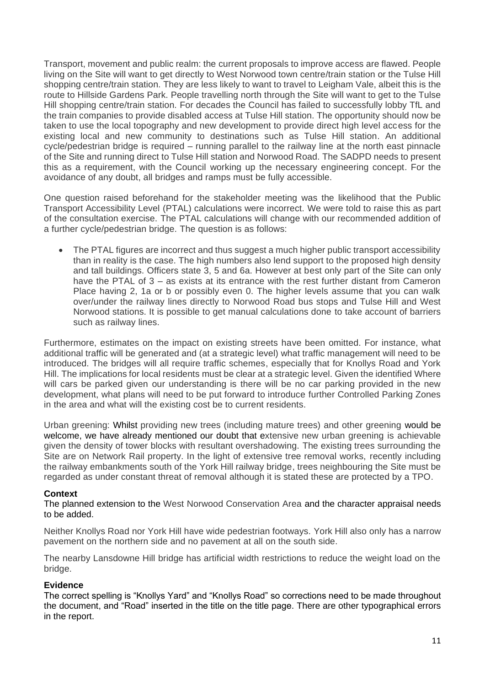Transport, movement and public realm: the current proposals to improve access are flawed. People living on the Site will want to get directly to West Norwood town centre/train station or the Tulse Hill shopping centre/train station. They are less likely to want to travel to Leigham Vale, albeit this is the route to Hillside Gardens Park. People travelling north through the Site will want to get to the Tulse Hill shopping centre/train station. For decades the Council has failed to successfully lobby TfL and the train companies to provide disabled access at Tulse Hill station. The opportunity should now be taken to use the local topography and new development to provide direct high level access for the existing local and new community to destinations such as Tulse Hill station. An additional cycle/pedestrian bridge is required – running parallel to the railway line at the north east pinnacle of the Site and running direct to Tulse Hill station and Norwood Road. The SADPD needs to present this as a requirement, with the Council working up the necessary engineering concept. For the avoidance of any doubt, all bridges and ramps must be fully accessible.

One question raised beforehand for the stakeholder meeting was the likelihood that the Public Transport Accessibility Level (PTAL) calculations were incorrect. We were told to raise this as part of the consultation exercise. The PTAL calculations will change with our recommended addition of a further cycle/pedestrian bridge. The question is as follows:

The PTAL figures are incorrect and thus suggest a much higher public transport accessibility than in reality is the case. The high numbers also lend support to the proposed high density and tall buildings. Officers state 3, 5 and 6a. However at best only part of the Site can only have the PTAL of 3 – as exists at its entrance with the rest further distant from Cameron Place having 2, 1a or b or possibly even 0. The higher levels assume that you can walk over/under the railway lines directly to Norwood Road bus stops and Tulse Hill and West Norwood stations. It is possible to get manual calculations done to take account of barriers such as railway lines.

Furthermore, estimates on the impact on existing streets have been omitted. For instance, what additional traffic will be generated and (at a strategic level) what traffic management will need to be introduced. The bridges will all require traffic schemes, especially that for Knollys Road and York Hill. The implications for local residents must be clear at a strategic level. Given the identified Where will cars be parked given our understanding is there will be no car parking provided in the new development, what plans will need to be put forward to introduce further Controlled Parking Zones in the area and what will the existing cost be to current residents.

Urban greening: Whilst providing new trees (including mature trees) and other greening would be welcome, we have already mentioned our doubt that extensive new urban greening is achievable given the density of tower blocks with resultant overshadowing. The existing trees surrounding the Site are on Network Rail property. In the light of extensive tree removal works, recently including the railway embankments south of the York Hill railway bridge, trees neighbouring the Site must be regarded as under constant threat of removal although it is stated these are protected by a TPO.

## **Context**

The planned extension to the West Norwood Conservation Area and the character appraisal needs to be added.

Neither Knollys Road nor York Hill have wide pedestrian footways. York Hill also only has a narrow pavement on the northern side and no pavement at all on the south side.

The nearby Lansdowne Hill bridge has artificial width restrictions to reduce the weight load on the bridge.

## **Evidence**

The correct spelling is "Knollys Yard" and "Knollys Road" so corrections need to be made throughout the document, and "Road" inserted in the title on the title page. There are other typographical errors in the report.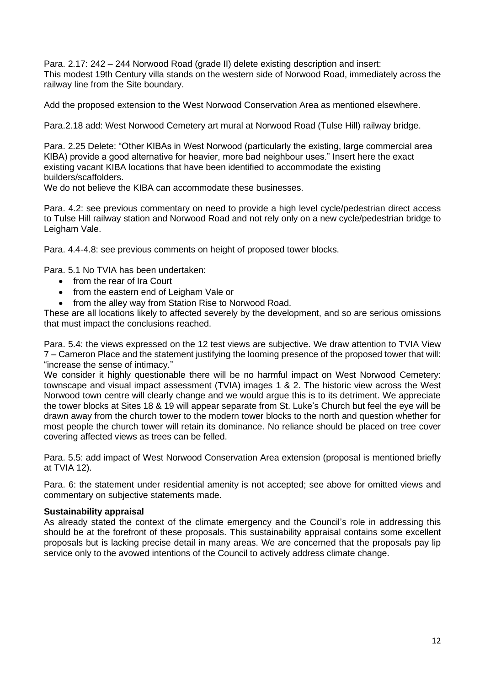Para. 2.17: 242 – 244 Norwood Road (grade II) delete existing description and insert: This modest 19th Century villa stands on the western side of Norwood Road, immediately across the railway line from the Site boundary.

Add the proposed extension to the West Norwood Conservation Area as mentioned elsewhere.

Para.2.18 add: West Norwood Cemetery art mural at Norwood Road (Tulse Hill) railway bridge.

Para. 2.25 Delete: "Other KIBAs in West Norwood (particularly the existing, large commercial area KIBA) provide a good alternative for heavier, more bad neighbour uses." Insert here the exact existing vacant KIBA locations that have been identified to accommodate the existing builders/scaffolders.

We do not believe the KIBA can accommodate these businesses.

Para. 4.2: see previous commentary on need to provide a high level cycle/pedestrian direct access to Tulse Hill railway station and Norwood Road and not rely only on a new cycle/pedestrian bridge to Leigham Vale.

Para. 4.4-4.8: see previous comments on height of proposed tower blocks.

Para. 5.1 No TVIA has been undertaken:

- from the rear of Ira Court
- from the eastern end of Leigham Vale or
- from the alley way from Station Rise to Norwood Road.

These are all locations likely to affected severely by the development, and so are serious omissions that must impact the conclusions reached.

Para. 5.4: the views expressed on the 12 test views are subjective. We draw attention to TVIA View 7 – Cameron Place and the statement justifying the looming presence of the proposed tower that will: "increase the sense of intimacy."

We consider it highly questionable there will be no harmful impact on West Norwood Cemetery: townscape and visual impact assessment (TVIA) images 1 & 2. The historic view across the West Norwood town centre will clearly change and we would argue this is to its detriment. We appreciate the tower blocks at Sites 18 & 19 will appear separate from St. Luke's Church but feel the eye will be drawn away from the church tower to the modern tower blocks to the north and question whether for most people the church tower will retain its dominance. No reliance should be placed on tree cover covering affected views as trees can be felled.

Para. 5.5: add impact of West Norwood Conservation Area extension (proposal is mentioned briefly at TVIA 12).

Para. 6: the statement under residential amenity is not accepted; see above for omitted views and commentary on subjective statements made.

#### **Sustainability appraisal**

As already stated the context of the climate emergency and the Council's role in addressing this should be at the forefront of these proposals. This sustainability appraisal contains some excellent proposals but is lacking precise detail in many areas. We are concerned that the proposals pay lip service only to the avowed intentions of the Council to actively address climate change.